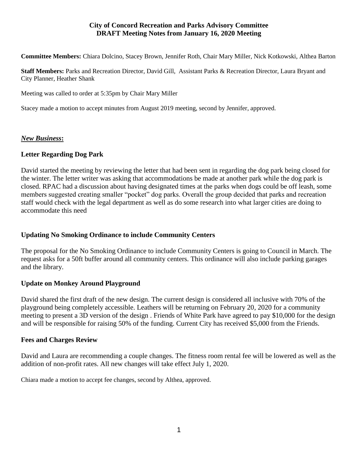### **City of Concord Recreation and Parks Advisory Committee DRAFT Meeting Notes from January 16, 2020 Meeting**

**Committee Members:** Chiara Dolcino, Stacey Brown, Jennifer Roth, Chair Mary Miller, Nick Kotkowski, Althea Barton

**Staff Members:** Parks and Recreation Director, David Gill, Assistant Parks & Recreation Director, Laura Bryant and City Planner, Heather Shank

Meeting was called to order at 5:35pm by Chair Mary Miller

Stacey made a motion to accept minutes from August 2019 meeting, second by Jennifer, approved.

### *New Business***:**

### **Letter Regarding Dog Park**

David started the meeting by reviewing the letter that had been sent in regarding the dog park being closed for the winter. The letter writer was asking that accommodations be made at another park while the dog park is closed. RPAC had a discussion about having designated times at the parks when dogs could be off leash, some members suggested creating smaller "pocket" dog parks. Overall the group decided that parks and recreation staff would check with the legal department as well as do some research into what larger cities are doing to accommodate this need

## **Updating No Smoking Ordinance to include Community Centers**

The proposal for the No Smoking Ordinance to include Community Centers is going to Council in March. The request asks for a 50ft buffer around all community centers. This ordinance will also include parking garages and the library.

### **Update on Monkey Around Playground**

David shared the first draft of the new design. The current design is considered all inclusive with 70% of the playground being completely accessible. Leathers will be returning on February 20, 2020 for a community meeting to present a 3D version of the design . Friends of White Park have agreed to pay \$10,000 for the design and will be responsible for raising 50% of the funding. Current City has received \$5,000 from the Friends.

### **Fees and Charges Review**

David and Laura are recommending a couple changes. The fitness room rental fee will be lowered as well as the addition of non-profit rates. All new changes will take effect July 1, 2020.

Chiara made a motion to accept fee changes, second by Althea, approved.